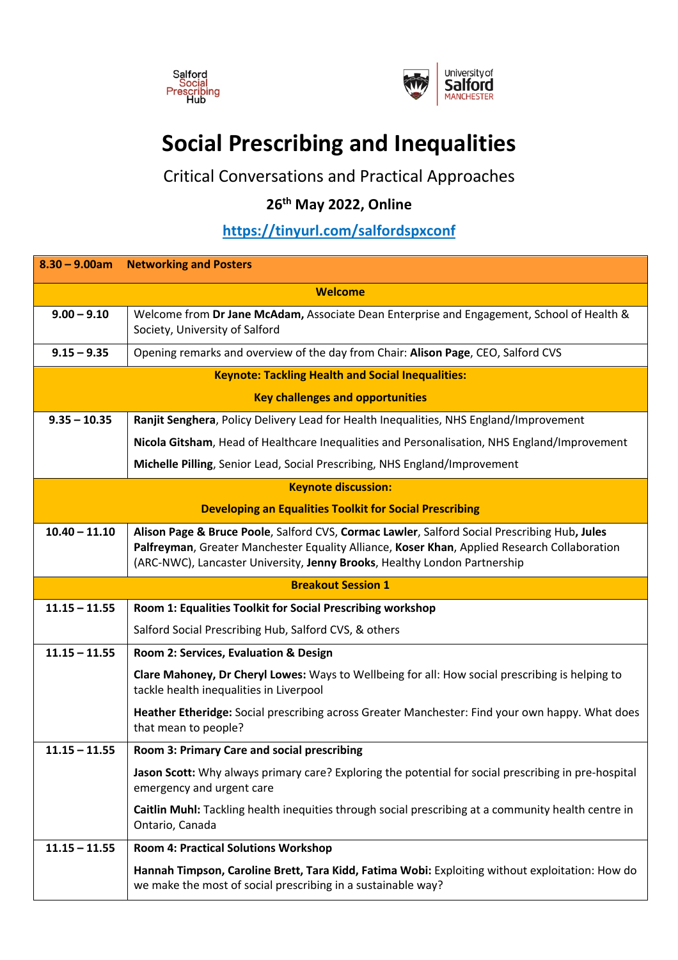



## **Social Prescribing and Inequalities**

Critical Conversations and Practical Approaches

## **26th May 2022, Online**

## **https://tinyurl.com/salfordspxconf**

| $8.30 - 9.00am$                                                | <b>Networking and Posters</b>                                                                                                                                                                                                                                             |
|----------------------------------------------------------------|---------------------------------------------------------------------------------------------------------------------------------------------------------------------------------------------------------------------------------------------------------------------------|
| <b>Welcome</b>                                                 |                                                                                                                                                                                                                                                                           |
| $9.00 - 9.10$                                                  | Welcome from Dr Jane McAdam, Associate Dean Enterprise and Engagement, School of Health &<br>Society, University of Salford                                                                                                                                               |
| $9.15 - 9.35$                                                  | Opening remarks and overview of the day from Chair: Alison Page, CEO, Salford CVS                                                                                                                                                                                         |
| <b>Keynote: Tackling Health and Social Inequalities:</b>       |                                                                                                                                                                                                                                                                           |
| <b>Key challenges and opportunities</b>                        |                                                                                                                                                                                                                                                                           |
| $9.35 - 10.35$                                                 | Ranjit Senghera, Policy Delivery Lead for Health Inequalities, NHS England/Improvement                                                                                                                                                                                    |
|                                                                | Nicola Gitsham, Head of Healthcare Inequalities and Personalisation, NHS England/Improvement                                                                                                                                                                              |
|                                                                | Michelle Pilling, Senior Lead, Social Prescribing, NHS England/Improvement                                                                                                                                                                                                |
| <b>Keynote discussion:</b>                                     |                                                                                                                                                                                                                                                                           |
| <b>Developing an Equalities Toolkit for Social Prescribing</b> |                                                                                                                                                                                                                                                                           |
| $10.40 - 11.10$                                                | Alison Page & Bruce Poole, Salford CVS, Cormac Lawler, Salford Social Prescribing Hub, Jules<br>Palfreyman, Greater Manchester Equality Alliance, Koser Khan, Applied Research Collaboration<br>(ARC-NWC), Lancaster University, Jenny Brooks, Healthy London Partnership |
| <b>Breakout Session 1</b>                                      |                                                                                                                                                                                                                                                                           |
| $11.15 - 11.55$                                                | Room 1: Equalities Toolkit for Social Prescribing workshop                                                                                                                                                                                                                |
|                                                                | Salford Social Prescribing Hub, Salford CVS, & others                                                                                                                                                                                                                     |
| $11.15 - 11.55$                                                | Room 2: Services, Evaluation & Design                                                                                                                                                                                                                                     |
|                                                                | Clare Mahoney, Dr Cheryl Lowes: Ways to Wellbeing for all: How social prescribing is helping to<br>tackle health inequalities in Liverpool                                                                                                                                |
|                                                                | Heather Etheridge: Social prescribing across Greater Manchester: Find your own happy. What does<br>that mean to people?                                                                                                                                                   |
| $11.15 - 11.55$                                                | Room 3: Primary Care and social prescribing                                                                                                                                                                                                                               |
|                                                                | Jason Scott: Why always primary care? Exploring the potential for social prescribing in pre-hospital                                                                                                                                                                      |
|                                                                | emergency and urgent care                                                                                                                                                                                                                                                 |
|                                                                | Caitlin Muhl: Tackling health inequities through social prescribing at a community health centre in<br>Ontario, Canada                                                                                                                                                    |
| $11.15 - 11.55$                                                | <b>Room 4: Practical Solutions Workshop</b>                                                                                                                                                                                                                               |